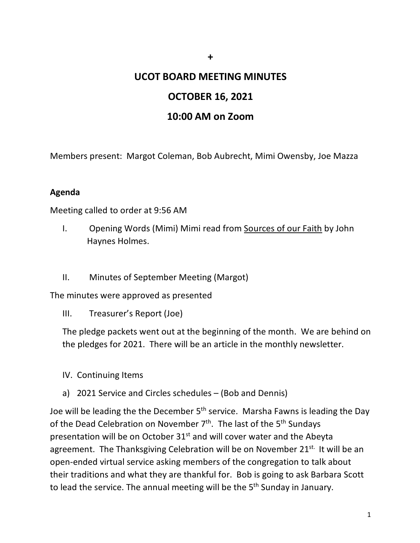# **UCOT BOARD MEETING MINUTES**

**+**

## **OCTOBER 16, 2021**

### **10:00 AM on Zoom**

Members present: Margot Coleman, Bob Aubrecht, Mimi Owensby, Joe Mazza

#### **Agenda**

Meeting called to order at 9:56 AM

- I. Opening Words (Mimi) Mimi read from Sources of our Faith by John Haynes Holmes.
- II. Minutes of September Meeting (Margot)

The minutes were approved as presented

III. Treasurer's Report (Joe)

The pledge packets went out at the beginning of the month. We are behind on the pledges for 2021. There will be an article in the monthly newsletter.

- IV. Continuing Items
- a) 2021 Service and Circles schedules (Bob and Dennis)

Joe will be leading the the December 5<sup>th</sup> service. Marsha Fawns is leading the Day of the Dead Celebration on November  $7<sup>th</sup>$ . The last of the  $5<sup>th</sup>$  Sundays presentation will be on October 31<sup>st</sup> and will cover water and the Abeyta agreement. The Thanksgiving Celebration will be on November 21<sup>st.</sup> It will be an open-ended virtual service asking members of the congregation to talk about their traditions and what they are thankful for. Bob is going to ask Barbara Scott to lead the service. The annual meeting will be the 5<sup>th</sup> Sunday in January.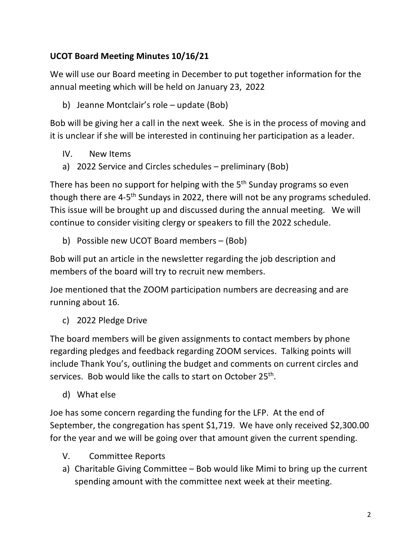## **UCOT Board Meeting Minutes 10/16/21**

We will use our Board meeting in December to put together information for the annual meeting which will be held on January 23, 2022

b) Jeanne Montclair's role – update (Bob)

Bob will be giving her a call in the next week. She is in the process of moving and it is unclear if she will be interested in continuing her participation as a leader.

- IV. New Items
- a) 2022 Service and Circles schedules preliminary (Bob)

There has been no support for helping with the 5<sup>th</sup> Sunday programs so even though there are 4-5th Sundays in 2022, there will not be any programs scheduled. This issue will be brought up and discussed during the annual meeting. We will continue to consider visiting clergy or speakers to fill the 2022 schedule.

b) Possible new UCOT Board members – (Bob)

Bob will put an article in the newsletter regarding the job description and members of the board will try to recruit new members.

Joe mentioned that the ZOOM participation numbers are decreasing and are running about 16.

c) 2022 Pledge Drive

The board members will be given assignments to contact members by phone regarding pledges and feedback regarding ZOOM services. Talking points will include Thank You's, outlining the budget and comments on current circles and services. Bob would like the calls to start on October 25<sup>th</sup>.

d) What else

Joe has some concern regarding the funding for the LFP. At the end of September, the congregation has spent \$1,719. We have only received \$2,300.00 for the year and we will be going over that amount given the current spending.

- V. Committee Reports
- a) Charitable Giving Committee Bob would like Mimi to bring up the current spending amount with the committee next week at their meeting.